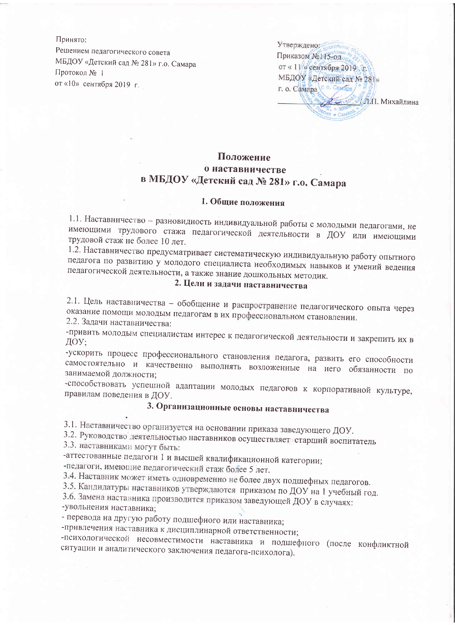Принято: Решением педагогического совета МБДОУ «Детский сад № 281» г.о. Самара Протокол № 1 от «10» сентября 2019 г.

Утверждено: Приказом №115-од от «11/» сентября 2019 г. МБДОУ «Детский сад № 281» r. o. Camapa r. o. Camapa **2 - 30° МЛ. Михайлина**  $\frac{V_{\rm e}}{P}$  = ERM  $\frac{300}{2}$ 

## Положение о наставничестве в МБДОУ «Детский сад № 281» г.о. Самара

## 1. Общие положения

1.1. Наставничество - разновидность индивидуальной работы с молодыми педагогами, не имеющими трудового стажа педагогической деятельности в ДОУ или имеющими трудовой стаж не более 10 лет.

1.2. Наставничество предусматривает систематическую индивидуальную работу опытного педагога по развитию у молодого специалиста необходимых навыков и умений ведения педагогической деятельности, а также знание дошкольных методик.

## 2. Цели и задачи наставничества

2.1. Цель наставничества - обобщение и распространение педагогического опыта через оказание помощи молодым педагогам в их профессиональном становлении. 2.2. Задачи наставничества:

-привить молодым специалистам интерес к педагогической деятельности и закрепить их в ДОУ:

-ускорить процесс профессионального становления педагога, развить его способности самостоятельно и качественно выполнять возложенные на него обязанности по занимаемой должности:

-способствовать успешной адаптации молодых педагогов к корпоративной культуре, правилам поведения в ДОУ.

# 3. Организационные основы наставничества

3.1. Наставничество организуется на основании приказа заведующего ДОУ.

3.2. Руководство деятельностью наставников осуществляет старший воспитатель 3.3. наставниками могут быть:

-аттестованные педагоги 1 и высшей квалификационной категории;

-педагоги, имеющие педагогический стаж более 5 лет.

3.4. Наставник может иметь одновременно не более двух подшефных педагогов.

3.5. Кандидатуры наставников утверждаются приказом по ДОУ на 1 учебный год.

3.6. Замена наставника производится приказом заведующей ДОУ в случаях:

-увольнения наставника;

- перевода на другую работу подшефного или наставника;

-привлечения наставника к дисциплинарной ответственности;

-психологической несовместимости наставника и подшефного (после конфликтной ситуации и аналитического заключения педагога-психолога).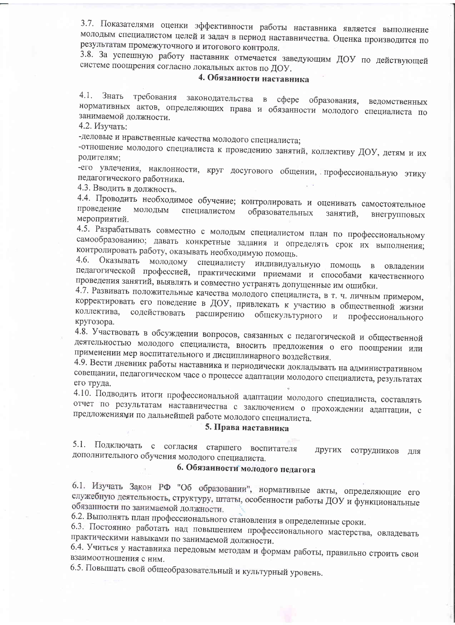3.7. Показателями оценки эффективности работы наставника является выполнение молодым специалистом целей и задач в период наставничества. Оценка производится по результатам промежуточного и итогового контроля.

3.8. За успешную работу наставник отмечается заведующим ДОУ по действующей системе поощрения согласно локальных актов по ДОУ.

#### 4. Обязанности наставника

 $4.1.$ требования законодательства в сфере образования, ведомственных Знать нормативных актов, определяющих права и обязанности молодого специалиста по занимаемой должности.

4.2. Изучать:

-деловые и нравственные качества молодого специалиста;

-отношение молодого специалиста к проведению занятий, коллективу ДОУ, детям и их родителям;

-его увлечения, наклонности, круг досугового общении, профессиональную этику педагогического работника.

4.3. Вводить в должность.

4.4. Проводить необходимое обучение; контролировать и оценивать самостоятельное проведение МОЛОДЫМ специалистом образовательных занятий, внегрупповых мероприятий.

4.5. Разрабатывать совместно с молодым специалистом план по профессиональному самообразованию; давать конкретные задания и определять срок их выполнения; контролировать работу, оказывать необходимую помощь. 4.6.

Оказывать молодому специалисту индивидуальную помощь в овладении педагогической профессией, практическими приемами и способами качественного проведения занятий, выявлять и совместно устранять допущенные им ошибки.

4.7. Развивать положительные качества молодого специалиста, в т. ч. личным примером, корректировать его поведение в ДОУ, привлекать к участию в общественной жизни содействовать расширению общекультурного и коллектива, профессионального кругозора.

4.8. Участвовать в обсуждении вопросов, связанных с педагогической и общественной деятельностью молодого специалиста, вносить предложения о его поощрении или применении мер воспитательного и дисциплинарного воздействия.

4.9. Вести дневник работы наставника и периодически докладывать на административном совещании, педагогическом часе о процессе адаптации молодого специалиста, результатах его труда.

4.10. Подводить итоги профессиональной адаптации молодого специалиста, составлять отчет по результатам наставничества с заключением о прохождении адаптации, с предложениями по дальнейшей работе молодого специалиста.

#### 5. Права наставника

5.1. Подключать с согласия старшего воспитателя других сотрудников для дополнительного обучения молодого специалиста.

## 6. Обязанности молодого педагога

6.1. Изучать Закон РФ "Об образовании", нормативные акты, определяющие его служебную деятельность, структуру, штаты, особенности работы ДОУ и функциональные обязанности по занимаемой должности.

6.2. Выполнять план профессионального становления в определенные сроки.

6.3. Постоянно работать над повышением профессионального мастерства, овладевать практическими навыками по занимаемой должности.

6.4. Учиться у наставника передовым методам и формам работы, правильно строить свои взаимоотношения с ним.

6.5. Повышать свой общеобразовательный и культурный уровень.